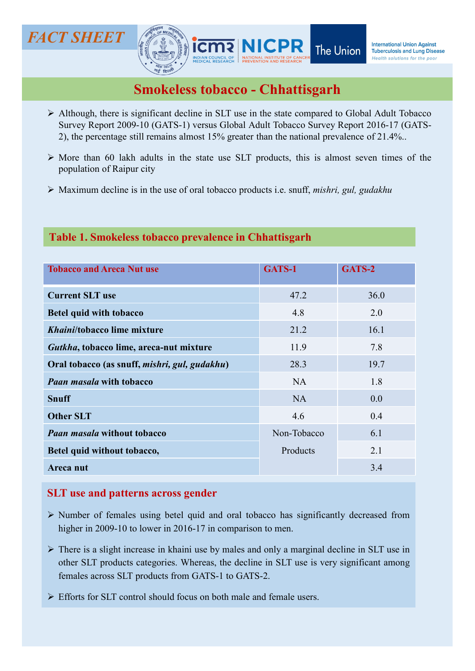

- **Although, there is significant decline in SLT use in the state compared to Global Adult Tobacco<br>
Smokeless tobacco Chhattisgarh<br>
Although, there is significant decline in SLT use in the state compared to Global Adult T SHEET**<br>
Survey Report 2009-10 (GATS-1) versus GLOBAL Adult Tobacco Survey Report 2009-10 (GATS-1) versus Global Adult Tobacco Survey Report 2016-17 (GATS-2), the percentage still remains almost 15% greater than the natio **2), the percentage still remains almost 15% greater than the national presentation of Remains almost 15% greater than the national prevalence of 21.4%..**<br>More than 60 lakh adults in the state use SLT products, this is al **CT SHEET**<br>
MICPR The Union International Union Against<br>
MICPR The Union International Union Against<br>
More than 60 lakh adults in the state use SLT products, this is almost severe times of the<br>
PA Although, there is signi **CT SHEET**<br>
MICPR The Union<br>
Smokeless tobacco - Chhattisgarh<br>
Although, there is significant decline in SLT use in the state compared to Global Adult Tobacco<br>
Survey Report 2009-10 (GATS-1) versus Global Adult Tobacco Su
- 
- 

# Table 1. Smokeless tobacco prevalence in Chhattisgarh

| NEW DELH                                                                                                                                                                                                                                                                                  |             |        |
|-------------------------------------------------------------------------------------------------------------------------------------------------------------------------------------------------------------------------------------------------------------------------------------------|-------------|--------|
| <b>Smokeless tobacco - Chhattisgarh</b>                                                                                                                                                                                                                                                   |             |        |
| > Although, there is significant decline in SLT use in the state compared to Global Adult Tobacco<br>Survey Report 2009-10 (GATS-1) versus Global Adult Tobacco Survey Report 2016-17 (GATS-<br>2), the percentage still remains almost 15% greater than the national prevalence of 21.4% |             |        |
| $\triangleright$ More than 60 lakh adults in the state use SLT products, this is almost seven times of the<br>population of Raipur city                                                                                                                                                   |             |        |
| > Maximum decline is in the use of oral tobacco products i.e. snuff, mishri, gul, gudakhu                                                                                                                                                                                                 |             |        |
| Table 1. Smokeless tobacco prevalence in Chhattisgarh                                                                                                                                                                                                                                     |             |        |
|                                                                                                                                                                                                                                                                                           |             |        |
| <b>Tobacco and Areca Nut use</b>                                                                                                                                                                                                                                                          | GATS-1      | GATS-2 |
| <b>Current SLT use</b>                                                                                                                                                                                                                                                                    | 47.2        | 36.0   |
| <b>Betel quid with tobacco</b>                                                                                                                                                                                                                                                            | 4.8         | 2.0    |
| Khaini/tobacco lime mixture                                                                                                                                                                                                                                                               | 21.2        | 16.1   |
| Gutkha, tobacco lime, areca-nut mixture                                                                                                                                                                                                                                                   | 11.9        | 7.8    |
| Oral tobacco (as snuff, <i>mishri</i> , <i>gul</i> , <i>gudakhu</i> )                                                                                                                                                                                                                     | 28.3        | 19.7   |
| <b>Paan masala with tobacco</b>                                                                                                                                                                                                                                                           | <b>NA</b>   | 1.8    |
| <b>Snuff</b>                                                                                                                                                                                                                                                                              | <b>NA</b>   | 0.0    |
| <b>Other SLT</b>                                                                                                                                                                                                                                                                          | 4.6         | 0.4    |
| <b>Paan masala without tobacco</b>                                                                                                                                                                                                                                                        | Non-Tobacco | 6.1    |
| Betel quid without tobacco,                                                                                                                                                                                                                                                               | Products    | 2.1    |
| Areca nut                                                                                                                                                                                                                                                                                 |             | 3.4    |
| <b>SLT</b> use and patterns across gender                                                                                                                                                                                                                                                 |             |        |
| > Number of females using betel quid and oral tobacco has significantly decreased from<br>higher in 2009-10 to lower in 2016-17 in comparison to men.                                                                                                                                     |             |        |
| $\triangleright$ There is a slight increase in khaini use by males and only a marginal decline in SLT use in<br>other SLT products categories. Whereas, the decline in SLT use is very significant among<br>females across SLT products from GATS-1 to GATS-2.                            |             |        |
| > Efforts for SLT control should focus on both male and female users.                                                                                                                                                                                                                     |             |        |
|                                                                                                                                                                                                                                                                                           |             |        |
|                                                                                                                                                                                                                                                                                           |             |        |
|                                                                                                                                                                                                                                                                                           |             |        |

# SLT use and patterns across gender

- 
- 
-